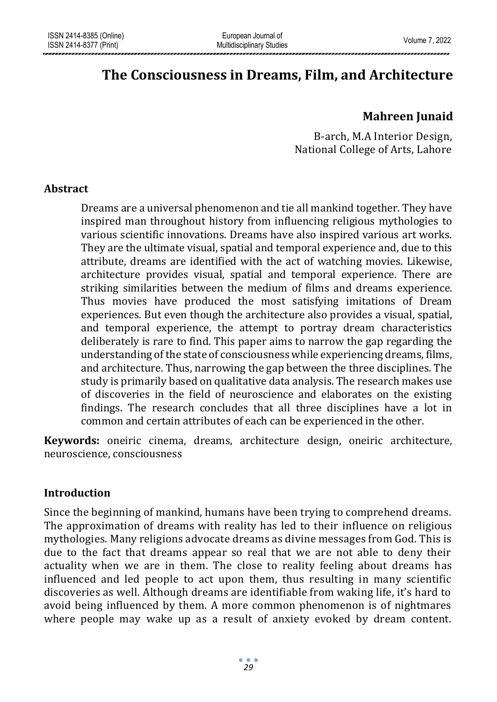# **The Consciousness in Dreams, Film, and Architecture**

# **Mahreen Junaid**

B-arch, M.A Interior Design, National College of Arts, Lahore

# **Abstract**

Dreams are a universal phenomenon and tie all mankind together. They have inspired man throughout history from influencing religious mythologies to various scientific innovations. Dreams have also inspired various art works. They are the ultimate visual, spatial and temporal experience and, due to this attribute, dreams are identified with the act of watching movies. Likewise, architecture provides visual, spatial and temporal experience. There are striking similarities between the medium of films and dreams experience. Thus movies have produced the most satisfying imitations of Dream experiences. But even though the architecture also provides a visual, spatial, and temporal experience, the attempt to portray dream characteristics deliberately is rare to find. This paper aims to narrow the gap regarding the understanding of the state of consciousness while experiencing dreams, films, and architecture. Thus, narrowing the gap between the three disciplines. The study is primarily based on qualitative data analysis. The research makes use of discoveries in the field of neuroscience and elaborates on the existing findings. The research concludes that all three disciplines have a lot in common and certain attributes of each can be experienced in the other.

**Keywords:** oneiric cinema, dreams, architecture design, oneiric architecture, neuroscience, consciousness

# **Introduction**

Since the beginning of mankind, humans have been trying to comprehend dreams. The approximation of dreams with reality has led to their influence on religious mythologies. Many religions advocate dreams as divine messages from God. This is due to the fact that dreams appear so real that we are not able to deny their actuality when we are in them. The close to reality feeling about dreams has influenced and led people to act upon them, thus resulting in many scientific discoveries as well. Although dreams are identifiable from waking life, it's hard to avoid being influenced by them. A more common phenomenon is of nightmares where people may wake up as a result of anxiety evoked by dream content.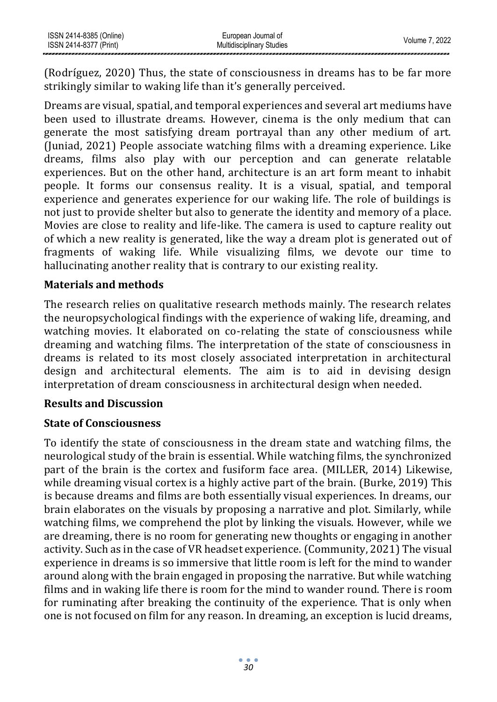| ISSN 2414-8385 (Online) | European Journal of              | Volume 7, 2022 |
|-------------------------|----------------------------------|----------------|
| ISSN 2414-8377 (Print)  | <b>Multidisciplinary Studies</b> |                |

(Rodríguez, 2020) Thus, the state of consciousness in dreams has to be far more strikingly similar to waking life than it's generally perceived.

Dreams are visual, spatial, and temporal experiences and several art mediums have been used to illustrate dreams. However, cinema is the only medium that can generate the most satisfying dream portrayal than any other medium of art. (Juniad, 2021) People associate watching films with a dreaming experience. Like dreams, films also play with our perception and can generate relatable experiences. But on the other hand, architecture is an art form meant to inhabit people. It forms our consensus reality. It is a visual, spatial, and temporal experience and generates experience for our waking life. The role of buildings is not just to provide shelter but also to generate the identity and memory of a place. Movies are close to reality and life-like. The camera is used to capture reality out of which a new reality is generated, like the way a dream plot is generated out of fragments of waking life. While visualizing films, we devote our time to hallucinating another reality that is contrary to our existing reality.

#### **Materials and methods**

The research relies on qualitative research methods mainly. The research relates the neuropsychological findings with the experience of waking life, dreaming, and watching movies. It elaborated on co-relating the state of consciousness while dreaming and watching films. The interpretation of the state of consciousness in dreams is related to its most closely associated interpretation in architectural design and architectural elements. The aim is to aid in devising design interpretation of dream consciousness in architectural design when needed.

#### **Results and Discussion**

#### **State of Consciousness**

To identify the state of consciousness in the dream state and watching films, the neurological study of the brain is essential. While watching films, the synchronized part of the brain is the cortex and fusiform face area. (MILLER, 2014) Likewise, while dreaming visual cortex is a highly active part of the brain. (Burke, 2019) This is because dreams and films are both essentially visual experiences. In dreams, our brain elaborates on the visuals by proposing a narrative and plot. Similarly, while watching films, we comprehend the plot by linking the visuals. However, while we are dreaming, there is no room for generating new thoughts or engaging in another activity. Such as in the case of VR headset experience. (Community, 2021) The visual experience in dreams is so immersive that little room is left for the mind to wander around along with the brain engaged in proposing the narrative. But while watching films and in waking life there is room for the mind to wander round. There is room for ruminating after breaking the continuity of the experience. That is only when one is not focused on film for any reason. In dreaming, an exception is lucid dreams,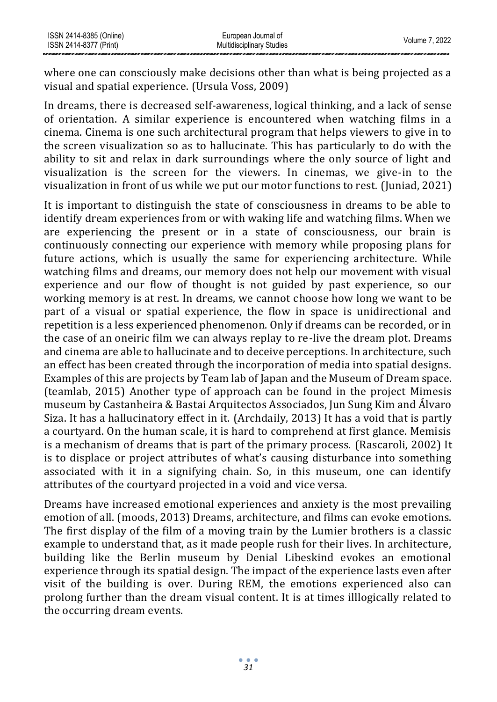where one can consciously make decisions other than what is being projected as a visual and spatial experience. (Ursula Voss, 2009)

In dreams, there is decreased self-awareness, logical thinking, and a lack of sense of orientation. A similar experience is encountered when watching films in a cinema. Cinema is one such architectural program that helps viewers to give in to the screen visualization so as to hallucinate. This has particularly to do with the ability to sit and relax in dark surroundings where the only source of light and visualization is the screen for the viewers. In cinemas, we give-in to the visualization in front of us while we put our motor functions to rest. (Juniad, 2021)

It is important to distinguish the state of consciousness in dreams to be able to identify dream experiences from or with waking life and watching films. When we are experiencing the present or in a state of consciousness, our brain is continuously connecting our experience with memory while proposing plans for future actions, which is usually the same for experiencing architecture. While watching films and dreams, our memory does not help our movement with visual experience and our flow of thought is not guided by past experience, so our working memory is at rest. In dreams, we cannot choose how long we want to be part of a visual or spatial experience, the flow in space is unidirectional and repetition is a less experienced phenomenon. Only if dreams can be recorded, or in the case of an oneiric film we can always replay to re-live the dream plot. Dreams and cinema are able to hallucinate and to deceive perceptions. In architecture, such an effect has been created through the incorporation of media into spatial designs. Examples of this are projects by Team lab of Japan and the Museum of Dream space. (teamlab, 2015) Another type of approach can be found in the project Mimesis museum by Castanheira & Bastai Arquitectos Associados, Jun Sung Kim and Álvaro Siza. It has a hallucinatory effect in it. (Archdaily, 2013) It has a void that is partly a courtyard. On the human scale, it is hard to comprehend at first glance. Memisis is a mechanism of dreams that is part of the primary process. (Rascaroli, 2002) It is to displace or project attributes of what's causing disturbance into something associated with it in a signifying chain. So, in this museum, one can identify attributes of the courtyard projected in a void and vice versa.

Dreams have increased emotional experiences and anxiety is the most prevailing emotion of all. (moods, 2013) Dreams, architecture, and films can evoke emotions. The first display of the film of a moving train by the Lumier brothers is a classic example to understand that, as it made people rush for their lives. In architecture, building like the Berlin museum by Denial Libeskind evokes an emotional experience through its spatial design. The impact of the experience lasts even after visit of the building is over. During REM, the emotions experienced also can prolong further than the dream visual content. It is at times illlogically related to the occurring dream events.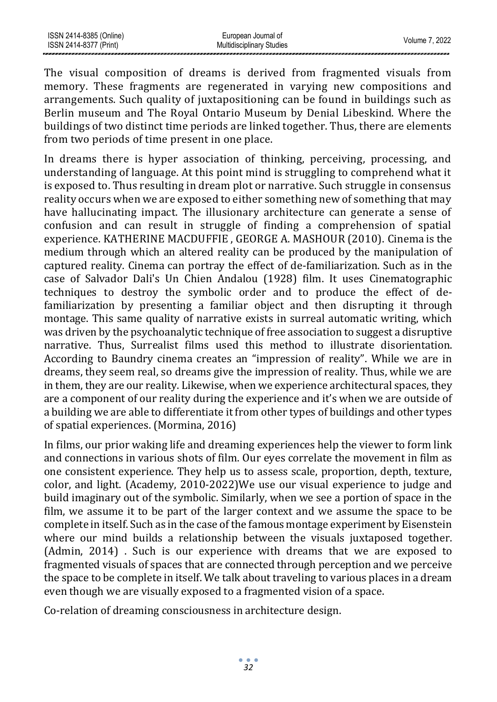| ISSN 2414-8385 (Online) | European Journal of              | Volume 7, 2022 |
|-------------------------|----------------------------------|----------------|
| ISSN 2414-8377 (Print)  | <b>Multidisciplinary Studies</b> |                |
|                         |                                  |                |

The visual composition of dreams is derived from fragmented visuals from memory. These fragments are regenerated in varying new compositions and arrangements. Such quality of juxtapositioning can be found in buildings such as Berlin museum and The Royal Ontario Museum by Denial Libeskind. Where the buildings of two distinct time periods are linked together. Thus, there are elements from two periods of time present in one place.

In dreams there is hyper association of thinking, perceiving, processing, and understanding of language. At this point mind is struggling to comprehend what it is exposed to. Thus resulting in dream plot or narrative. Such struggle in consensus reality occurs when we are exposed to either something new of something that may have hallucinating impact. The illusionary architecture can generate a sense of confusion and can result in struggle of finding a comprehension of spatial experience. KATHERINE MACDUFFIE , GEORGE A. MASHOUR (2010). Cinema is the medium through which an altered reality can be produced by the manipulation of captured reality. Cinema can portray the effect of de-familiarization. Such as in the case of Salvador Dali's Un Chien Andalou (1928) film. It uses Cinematographic techniques to destroy the symbolic order and to produce the effect of defamiliarization by presenting a familiar object and then disrupting it through montage. This same quality of narrative exists in surreal automatic writing, which was driven by the psychoanalytic technique of free association to suggest a disruptive narrative. Thus, Surrealist films used this method to illustrate disorientation. According to Baundry cinema creates an "impression of reality". While we are in dreams, they seem real, so dreams give the impression of reality. Thus, while we are in them, they are our reality. Likewise, when we experience architectural spaces, they are a component of our reality during the experience and it's when we are outside of a building we are able to differentiate it from other types of buildings and other types of spatial experiences. (Mormina, 2016)

In films, our prior waking life and dreaming experiences help the viewer to form link and connections in various shots of film. Our eyes correlate the movement in film as one consistent experience. They help us to assess scale, proportion, depth, texture, color, and light. (Academy, 2010-2022)We use our visual experience to judge and build imaginary out of the symbolic. Similarly, when we see a portion of space in the film, we assume it to be part of the larger context and we assume the space to be complete in itself. Such as in the case of the famous montage experiment by Eisenstein where our mind builds a relationship between the visuals juxtaposed together. (Admin, 2014) . Such is our experience with dreams that we are exposed to fragmented visuals of spaces that are connected through perception and we perceive the space to be complete in itself. We talk about traveling to various places in a dream even though we are visually exposed to a fragmented vision of a space.

Co-relation of dreaming consciousness in architecture design.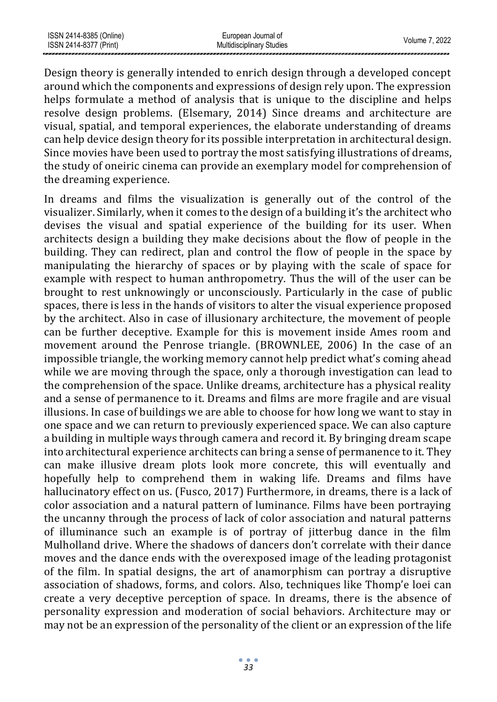| ISSN 2414-8385 (Online) | European Journal of              | Volume 7, 2022 |
|-------------------------|----------------------------------|----------------|
| ISSN 2414-8377 (Print)  | <b>Multidisciplinary Studies</b> |                |

Design theory is generally intended to enrich design through a developed concept around which the components and expressions of design rely upon. The expression helps formulate a method of analysis that is unique to the discipline and helps resolve design problems. (Elsemary, 2014) Since dreams and architecture are visual, spatial, and temporal experiences, the elaborate understanding of dreams can help device design theory for its possible interpretation in architectural design. Since movies have been used to portray the most satisfying illustrations of dreams, the study of oneiric cinema can provide an exemplary model for comprehension of the dreaming experience.

In dreams and films the visualization is generally out of the control of the visualizer. Similarly, when it comes to the design of a building it's the architect who devises the visual and spatial experience of the building for its user. When architects design a building they make decisions about the flow of people in the building. They can redirect, plan and control the flow of people in the space by manipulating the hierarchy of spaces or by playing with the scale of space for example with respect to human anthropometry. Thus the will of the user can be brought to rest unknowingly or unconsciously. Particularly in the case of public spaces, there is less in the hands of visitors to alter the visual experience proposed by the architect. Also in case of illusionary architecture, the movement of people can be further deceptive. Example for this is movement inside Ames room and movement around the Penrose triangle. (BROWNLEE, 2006) In the case of an impossible triangle, the working memory cannot help predict what's coming ahead while we are moving through the space, only a thorough investigation can lead to the comprehension of the space. Unlike dreams, architecture has a physical reality and a sense of permanence to it. Dreams and films are more fragile and are visual illusions. In case of buildings we are able to choose for how long we want to stay in one space and we can return to previously experienced space. We can also capture a building in multiple ways through camera and record it. By bringing dream scape into architectural experience architects can bring a sense of permanence to it. They can make illusive dream plots look more concrete, this will eventually and hopefully help to comprehend them in waking life. Dreams and films have hallucinatory effect on us. (Fusco, 2017) Furthermore, in dreams, there is a lack of color association and a natural pattern of luminance. Films have been portraying the uncanny through the process of lack of color association and natural patterns of illuminance such an example is of portray of jitterbug dance in the film Mulholland drive. Where the shadows of dancers don't correlate with their dance moves and the dance ends with the overexposed image of the leading protagonist of the film. In spatial designs, the art of anamorphism can portray a disruptive association of shadows, forms, and colors. Also, techniques like Thomp'e loei can create a very deceptive perception of space. In dreams, there is the absence of personality expression and moderation of social behaviors. Architecture may or may not be an expression of the personality of the client or an expression of the life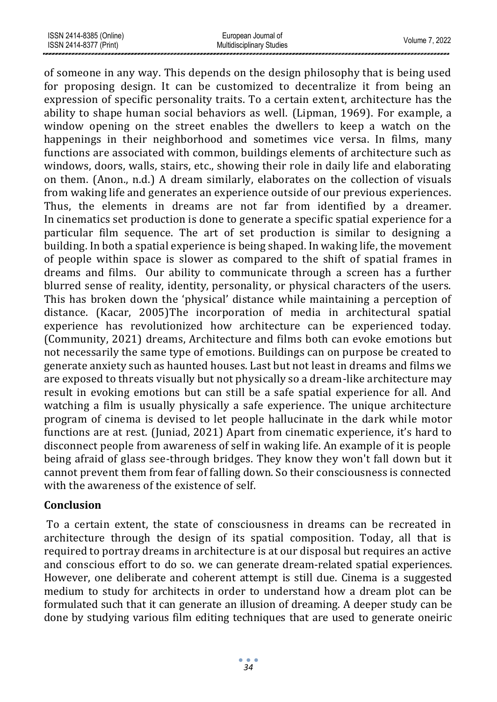of someone in any way. This depends on the design philosophy that is being used for proposing design. It can be customized to decentralize it from being an expression of specific personality traits. To a certain extent, architecture has the ability to shape human social behaviors as well. (Lipman, 1969). For example, a window opening on the street enables the dwellers to keep a watch on the happenings in their neighborhood and sometimes vice versa. In films, many functions are associated with common, buildings elements of architecture such as windows, doors, walls, stairs, etc., showing their role in daily life and elaborating on them. (Anon., n.d.) A dream similarly, elaborates on the collection of visuals from waking life and generates an experience outside of our previous experiences. Thus, the elements in dreams are not far from identified by a dreamer. In cinematics set production is done to generate a specific spatial experience for a particular film sequence. The art of set production is similar to designing a building. In both a spatial experience is being shaped. In waking life, the movement of people within space is slower as compared to the shift of spatial frames in dreams and films. Our ability to communicate through a screen has a further blurred sense of reality, identity, personality, or physical characters of the users. This has broken down the 'physical' distance while maintaining a perception of distance. (Kacar, 2005)The incorporation of media in architectural spatial experience has revolutionized how architecture can be experienced today. (Community, 2021) dreams, Architecture and films both can evoke emotions but not necessarily the same type of emotions. Buildings can on purpose be created to generate anxiety such as haunted houses. Last but not least in dreams and films we are exposed to threats visually but not physically so a dream-like architecture may result in evoking emotions but can still be a safe spatial experience for all. And watching a film is usually physically a safe experience. The unique architecture program of cinema is devised to let people hallucinate in the dark while motor functions are at rest. (Juniad, 2021) Apart from cinematic experience, it's hard to disconnect people from awareness of self in waking life. An example of it is people being afraid of glass see-through bridges. They know they won't fall down but it cannot prevent them from fear of falling down. So their consciousness is connected with the awareness of the existence of self.

# **Conclusion**

To a certain extent, the state of consciousness in dreams can be recreated in architecture through the design of its spatial composition. Today, all that is required to portray dreams in architecture is at our disposal but requires an active and conscious effort to do so. we can generate dream-related spatial experiences. However, one deliberate and coherent attempt is still due. Cinema is a suggested medium to study for architects in order to understand how a dream plot can be formulated such that it can generate an illusion of dreaming. A deeper study can be done by studying various film editing techniques that are used to generate oneiric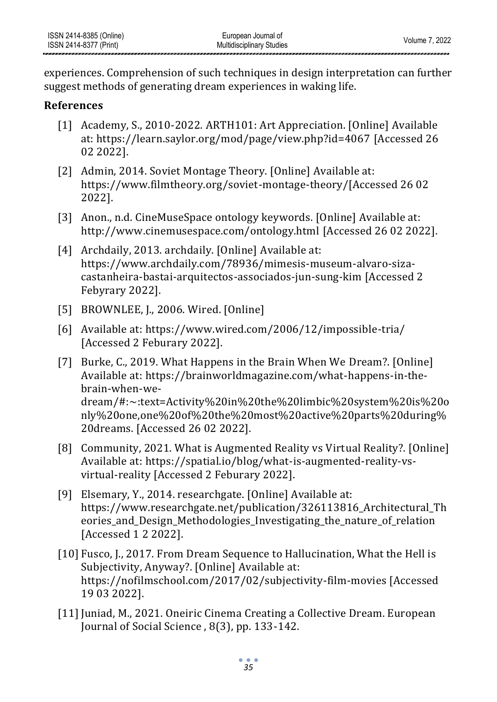experiences. Comprehension of such techniques in design interpretation can further suggest methods of generating dream experiences in waking life.

# **References**

- [1] Academy, S., 2010-2022. ARTH101: Art Appreciation. [Online] Available at:<https://learn.saylor.org/mod/page/view.php?id=4067> [Accessed 26 02 2022].
- [2] Admin, 2014. Soviet Montage Theory. [Online] Available at: https://www.filmtheory.org/soviet-montage-theory/[Accessed 26 02 2022].
- [3] Anon., n.d. CineMuseSpace ontology keywords. [Online] Available at: <http://www.cinemusespace.com/ontology.html> [Accessed 26 02 2022].
- [4] Archdaily, 2013. archdaily. [Online] Available at: [https://www.archdaily.com/78936/mimesis-museum-alvaro-siza](https://www.archdaily.com/78936/mimesis-museum-alvaro-siza-castanheira-bastai-arquitectos-associados-jun-sung-kim)[castanheira-bastai-arquitectos-associados-jun-sung-kim](https://www.archdaily.com/78936/mimesis-museum-alvaro-siza-castanheira-bastai-arquitectos-associados-jun-sung-kim) [Accessed 2 Febyrary 2022].
- [5] BROWNLEE, J., 2006. Wired. [Online]
- [6] Available at:<https://www.wired.com/2006/12/impossible-tria/> [Accessed 2 Feburary 2022].
- [7] Burke, C., 2019. What Happens in the Brain When We Dream?. [Online] Available at: [https://brainworldmagazine.com/what-happens-in-the](https://brainworldmagazine.com/what-happens-in-the-brain-when-we-dream/#:~:text=Activity%20in%20the%20limbic%20system%20is%20only%20one,one%20of%20the%20most%20active%20parts%20during%20dreams)[brain-when-we](https://brainworldmagazine.com/what-happens-in-the-brain-when-we-dream/#:~:text=Activity%20in%20the%20limbic%20system%20is%20only%20one,one%20of%20the%20most%20active%20parts%20during%20dreams)[dream/#:~:text=Activity%20in%20the%20limbic%20system%20is%20o](https://brainworldmagazine.com/what-happens-in-the-brain-when-we-dream/#:~:text=Activity%20in%20the%20limbic%20system%20is%20only%20one,one%20of%20the%20most%20active%20parts%20during%20dreams) [nly%20one,one%20of%20the%20most%20active%20parts%20during%](https://brainworldmagazine.com/what-happens-in-the-brain-when-we-dream/#:~:text=Activity%20in%20the%20limbic%20system%20is%20only%20one,one%20of%20the%20most%20active%20parts%20during%20dreams) [20dreams.](https://brainworldmagazine.com/what-happens-in-the-brain-when-we-dream/#:~:text=Activity%20in%20the%20limbic%20system%20is%20only%20one,one%20of%20the%20most%20active%20parts%20during%20dreams) [Accessed 26 02 2022].
- [8] Community, 2021. What is Augmented Reality vs Virtual Reality?. [Online] Available at: [https://spatial.io/blog/what-is-augmented-reality-vs](https://spatial.io/blog/what-is-augmented-reality-vs-virtual-reality)[virtual-reality](https://spatial.io/blog/what-is-augmented-reality-vs-virtual-reality) [Accessed 2 Feburary 2022].
- [9] Elsemary, Y., 2014. researchgate. [Online] Available at: [https://www.researchgate.net/publication/326113816\\_Architectural\\_Th](https://www.researchgate.net/publication/326113816_Architectural_Theories_and_Design_Methodologies_Investigating_the_nature_of_relation) eories and Design Methodologies Investigating the nature of relation [Accessed 1 2 2022].
- [10] Fusco, J., 2017. From Dream Sequence to Hallucination, What the Hell is Subjectivity, Anyway?. [Online] Available at: <https://nofilmschool.com/2017/02/subjectivity-film-movies> [Accessed 19 03 2022].
- [11] Juniad, M., 2021. Oneiric Cinema Creating a Collective Dream. European Journal of Social Science , 8(3), pp. 133-142.